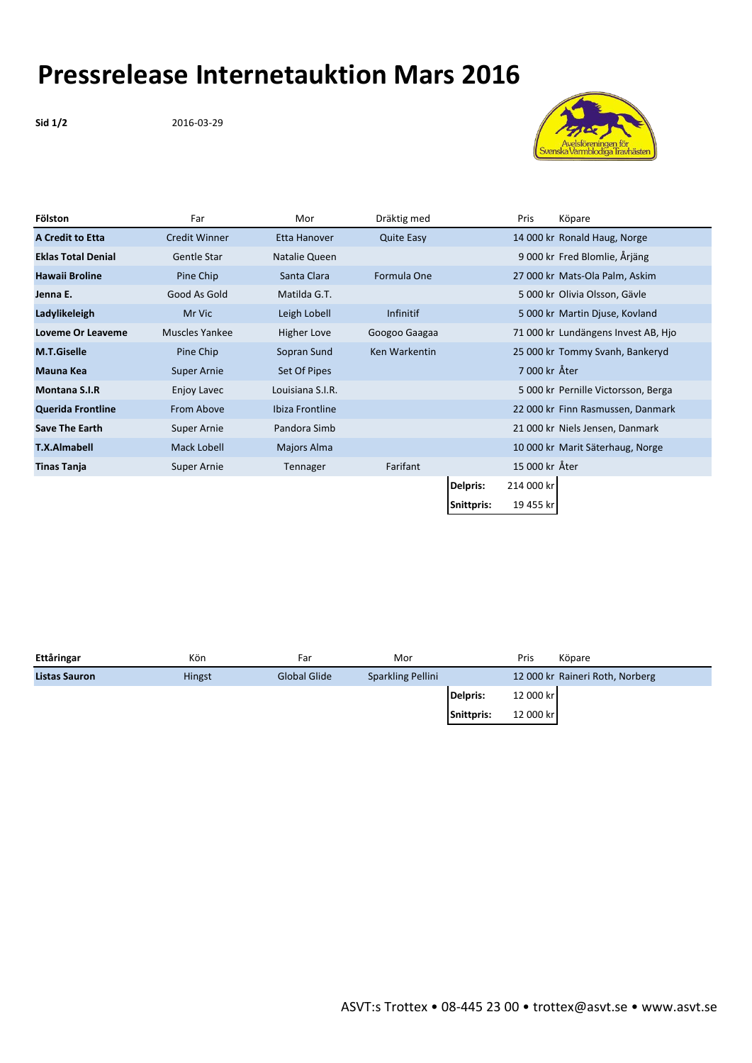## **Pressrelease Internetauktion Mars 2016**

**Sid 1/2** 2016-03-29



| Fölston                   | Far                  | Mor              | Dräktig med       |            | Pris           | Köpare                              |
|---------------------------|----------------------|------------------|-------------------|------------|----------------|-------------------------------------|
| <b>A Credit to Etta</b>   | <b>Credit Winner</b> | Etta Hanover     | <b>Quite Easy</b> |            |                | 14 000 kr Ronald Haug, Norge        |
| <b>Eklas Total Denial</b> | Gentle Star          | Natalie Queen    |                   |            |                | 9 000 kr Fred Blomlie, Årjäng       |
| <b>Hawaii Broline</b>     | Pine Chip            | Santa Clara      | Formula One       |            |                | 27 000 kr Mats-Ola Palm, Askim      |
| Jenna E.                  | Good As Gold         | Matilda G.T.     |                   |            |                | 5 000 kr Olivia Olsson, Gävle       |
| Ladylikeleigh             | Mr Vic               | Leigh Lobell     | <b>Infinitif</b>  |            |                | 5 000 kr Martin Djuse, Kovland      |
| Loveme Or Leaveme         | Muscles Yankee       | Higher Love      | Googoo Gaagaa     |            |                | 71 000 kr Lundängens Invest AB, Hjo |
| <b>M.T.Giselle</b>        | Pine Chip            | Sopran Sund      | Ken Warkentin     |            |                | 25 000 kr Tommy Svanh, Bankeryd     |
| <b>Mauna Kea</b>          | <b>Super Arnie</b>   | Set Of Pipes     |                   |            | 7 000 kr Åter  |                                     |
| <b>Montana S.I.R</b>      | Enjoy Lavec          | Louisiana S.I.R. |                   |            |                | 5 000 kr Pernille Victorsson, Berga |
| <b>Querida Frontline</b>  | From Above           | Ibiza Frontline  |                   |            |                | 22 000 kr Finn Rasmussen, Danmark   |
| <b>Save The Earth</b>     | Super Arnie          | Pandora Simb     |                   |            |                | 21 000 kr Niels Jensen, Danmark     |
| <b>T.X.Almabell</b>       | Mack Lobell          | Majors Alma      |                   |            |                | 10 000 kr Marit Säterhaug, Norge    |
| <b>Tinas Tanja</b>        | Super Arnie          | Tennager         | Farifant          |            | 15 000 kr Åter |                                     |
|                           |                      |                  |                   | Delpris:   | 214 000 kr     |                                     |
|                           |                      |                  |                   | Snittpris: | 19 455 kr      |                                     |

| Ettåringar           | Kön    | Far          | Mor               |            | Pris      | Köpare                          |
|----------------------|--------|--------------|-------------------|------------|-----------|---------------------------------|
| <b>Listas Sauron</b> | Hingst | Global Glide | Sparkling Pellini |            |           | 12 000 kr Raineri Roth, Norberg |
|                      |        |              |                   | Delpris:   | 12 000 kr |                                 |
|                      |        |              |                   | Snittpris: | 12 000 kr |                                 |